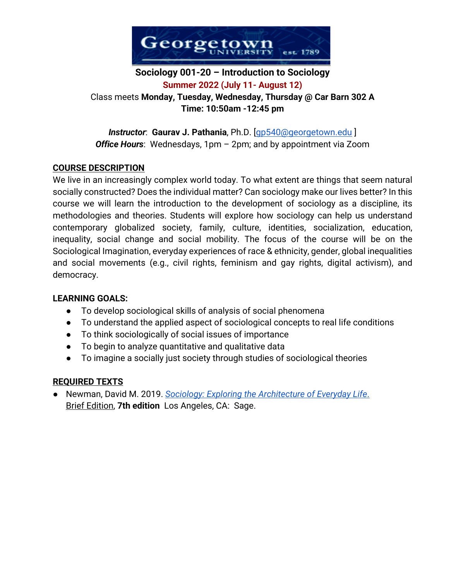

# **Sociology 001-20 – Introduction to Sociology Summer 2022 (July 11- August 12)** Class meets **Monday, Tuesday, Wednesday, Thursday @ Car Barn 302 A Time: 10:50am -12:45 pm**

*Instructor*: **Gaurav J. Pathania**, Ph.D. [gp540@georgetown.edu ] *Office Hours*: Wednesdays, 1pm – 2pm; and by appointment via Zoom

# **COURSE DESCRIPTION**

We live in an increasingly complex world today. To what extent are things that seem natural socially constructed? Does the individual matter? Can sociology make our lives better? In this course we will learn the introduction to the development of sociology as a discipline, its methodologies and theories. Students will explore how sociology can help us understand contemporary globalized society, family, culture, identities, socialization, education, inequality, social change and social mobility. The focus of the course will be on the Sociological Imagination, everyday experiences of race & ethnicity, gender, global inequalities and social movements (e.g., civil rights, feminism and gay rights, digital activism), and democracy.

# **LEARNING GOALS:**

- To develop sociological skills of analysis of social phenomena
- To understand the applied aspect of sociological concepts to real life conditions
- To think sociologically of social issues of importance
- To begin to analyze quantitative and qualitative data
- To imagine a socially just society through studies of sociological theories

# **REQUIRED TEXTS**

● Newman, David M. 2019. *Sociology: Exploring the Architecture of Everyday Life*. Brief Edition, **7th edition** Los Angeles, CA: Sage.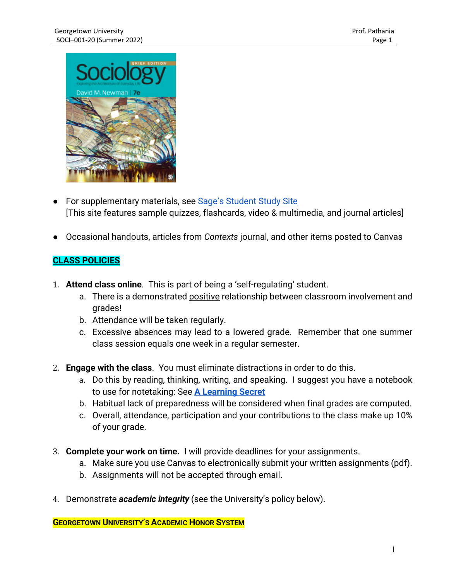

- For supplementary materials, see Sage's Student Study Site [This site features sample quizzes, flashcards, video & multimedia, and journal articles]
- Occasional handouts, articles from *Contexts* journal, and other items posted to Canvas

# **CLASS POLICIES**

- 1. **Attend class online**. This is part of being a 'self-regulating' student.
	- a. There is a demonstrated positive relationship between classroom involvement and grades!
	- b. Attendance will be taken regularly.
	- c. Excessive absences may lead to a lowered grade*.* Remember that one summer class session equals one week in a regular semester.
- 2. **Engage with the class**. You must eliminate distractions in order to do this.
	- a. Do this by reading, thinking, writing, and speaking. I suggest you have a notebook to use for notetaking: See **A Learning Secret**
	- b. Habitual lack of preparedness will be considered when final grades are computed.
	- c. Overall, attendance, participation and your contributions to the class make up 10% of your grade.
- 3. **Complete your work on time.** I will provide deadlines for your assignments.
	- a. Make sure you use Canvas to electronically submit your written assignments (pdf).
	- b. Assignments will not be accepted through email.
- 4. Demonstrate *academic integrity* (see the University's policy below).

**GEORGETOWN UNIVERSITY'S ACADEMIC HONOR SYSTEM**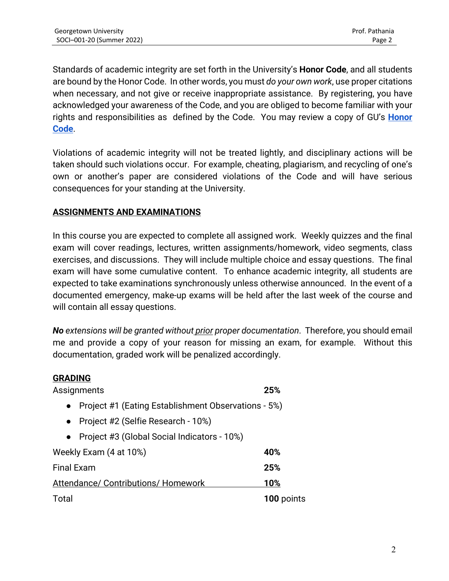Standards of academic integrity are set forth in the University's **Honor Code**, and all students are bound by the Honor Code. In other words, you must *do your own work*, use proper citations when necessary, and not give or receive inappropriate assistance. By registering, you have acknowledged your awareness of the Code, and you are obliged to become familiar with your rights and responsibilities as defined by the Code. You may review a copy of GU's **Honor Code**.

Violations of academic integrity will not be treated lightly, and disciplinary actions will be taken should such violations occur. For example, cheating, plagiarism, and recycling of one's own or another's paper are considered violations of the Code and will have serious consequences for your standing at the University.

# **ASSIGNMENTS AND EXAMINATIONS**

In this course you are expected to complete all assigned work. Weekly quizzes and the final exam will cover readings, lectures, written assignments/homework, video segments, class exercises, and discussions. They will include multiple choice and essay questions. The final exam will have some cumulative content. To enhance academic integrity, all students are expected to take examinations synchronously unless otherwise announced. In the event of a documented emergency, make-up exams will be held after the last week of the course and will contain all essay questions.

*No extensions will be granted without prior proper documentation*. Therefore, you should email me and provide a copy of your reason for missing an exam, for example. Without this documentation, graded work will be penalized accordingly.

### **GRADING**

| Assignments                         |                                                     | 25%        |
|-------------------------------------|-----------------------------------------------------|------------|
| $\bullet$                           | Project #1 (Eating Establishment Observations - 5%) |            |
| $\bullet$                           | Project #2 (Selfie Research - 10%)                  |            |
| $\bullet$                           | Project #3 (Global Social Indicators - 10%)         |            |
| Weekly Exam (4 at 10%)              |                                                     | 40%        |
| <b>Final Exam</b>                   |                                                     | 25%        |
| Attendance/ Contributions/ Homework |                                                     | 10%        |
| Total                               |                                                     | 100 points |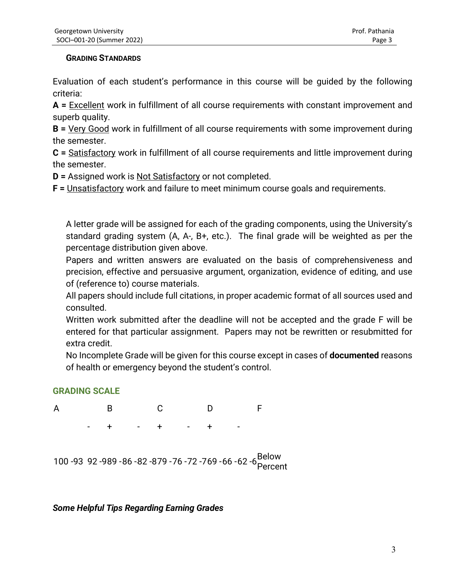#### **GRADING STANDARDS**

Evaluation of each student's performance in this course will be guided by the following criteria:

**A =** Excellent work in fulfillment of all course requirements with constant improvement and superb quality.

**B =** Very Good work in fulfillment of all course requirements with some improvement during the semester.

**C =** Satisfactory work in fulfillment of all course requirements and little improvement during the semester.

**D =** Assigned work is Not Satisfactory or not completed.

**F =** Unsatisfactory work and failure to meet minimum course goals and requirements.

 A letter grade will be assigned for each of the grading components, using the University's standard grading system (A, A-, B+, etc.). The final grade will be weighted as per the percentage distribution given above.

 Papers and written answers are evaluated on the basis of comprehensiveness and precision, effective and persuasive argument, organization, evidence of editing, and use of (reference to) course materials.

 All papers should include full citations, in proper academic format of all sources used and consulted.

 Written work submitted after the deadline will not be accepted and the grade F will be entered for that particular assignment. Papers may not be rewritten or resubmitted for extra credit.

 No Incomplete Grade will be given for this course except in cases of **documented** reasons of health or emergency beyond the student's control.

# **GRADING SCALE**



# *Some Helpful Tips Regarding Earning Grades*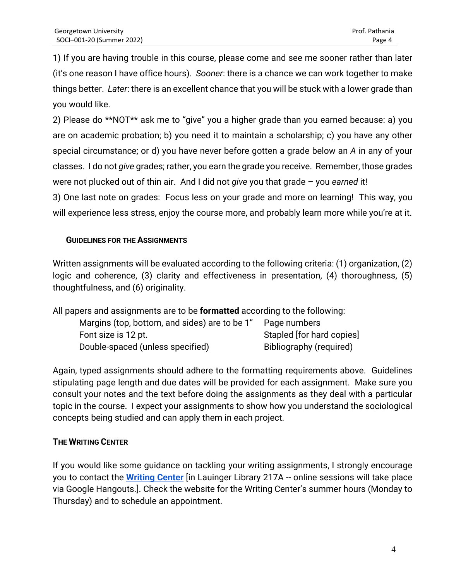1) If you are having trouble in this course, please come and see me sooner rather than later (it's one reason I have office hours). *Sooner*: there is a chance we can work together to make things better. *Later*: there is an excellent chance that you will be stuck with a lower grade than you would like.

2) Please do \*\*NOT\*\* ask me to "give" you a higher grade than you earned because: a) you are on academic probation; b) you need it to maintain a scholarship; c) you have any other special circumstance; or d) you have never before gotten a grade below an *A* in any of your classes. I do not *give* grades; rather, you earn the grade you receive. Remember, those grades were not plucked out of thin air. And I did not *give* you that grade – you *earned* it! 3) One last note on grades: Focus less on your grade and more on learning! This way, you

will experience less stress, enjoy the course more, and probably learn more while you're at it.

## **GUIDELINES FOR THE ASSIGNMENTS**

Written assignments will be evaluated according to the following criteria: (1) organization, (2) logic and coherence, (3) clarity and effectiveness in presentation, (4) thoroughness, (5) thoughtfulness, and (6) originality.

| All papers and assignments are to be formatted according to the following: |                           |  |  |
|----------------------------------------------------------------------------|---------------------------|--|--|
| Margins (top, bottom, and sides) are to be 1"                              | Page numbers              |  |  |
| Font size is 12 pt.                                                        | Stapled [for hard copies] |  |  |
| Double-spaced (unless specified)                                           | Bibliography (required)   |  |  |

Again, typed assignments should adhere to the formatting requirements above. Guidelines stipulating page length and due dates will be provided for each assignment. Make sure you consult your notes and the text before doing the assignments as they deal with a particular topic in the course. I expect your assignments to show how you understand the sociological concepts being studied and can apply them in each project.

# **THE WRITING CENTER**

If you would like some guidance on tackling your writing assignments, I strongly encourage you to contact the **Writing Center** [in Lauinger Library 217A -- online sessions will take place via Google Hangouts.]. Check the website for the Writing Center's summer hours (Monday to Thursday) and to schedule an appointment.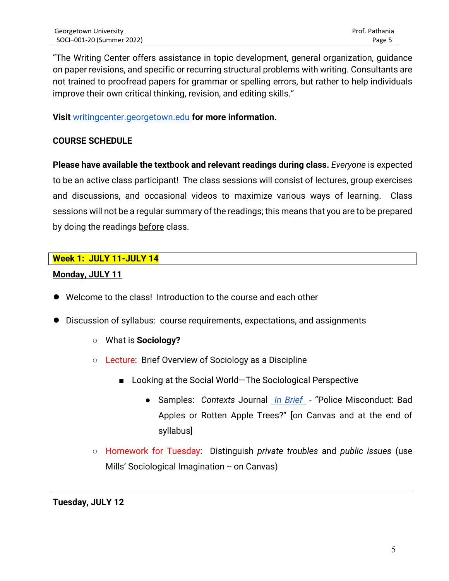"The Writing Center offers assistance in topic development, general organization, guidance on paper revisions, and specific or recurring structural problems with writing. Consultants are not trained to proofread papers for grammar or spelling errors, but rather to help individuals improve their own critical thinking, revision, and editing skills."

**Visit** writingcenter.georgetown.edu **for more information.**

## **COURSE SCHEDULE**

**Please have available the textbook and relevant readings during class.** *Everyone* is expected to be an active class participant! The class sessions will consist of lectures, group exercises and discussions, and occasional videos to maximize various ways of learning. Class sessions will not be a regular summary of the readings; this means that you are to be prepared by doing the readings before class.

## **Week 1: JULY 11-JULY 14**

## **Monday, JULY 11**

- Welcome to the class! Introduction to the course and each other
- Discussion of syllabus: course requirements, expectations, and assignments
	- What is **Sociology?**
	- Lecture: Brief Overview of Sociology as a Discipline
		- Looking at the Social World-The Sociological Perspective
			- Samples: *Contexts* Journal *In Brief*  "Police Misconduct: Bad Apples or Rotten Apple Trees?" [on Canvas and at the end of syllabus]
	- Homework for Tuesday: Distinguish *private troubles* and *public issues* (use Mills' Sociological Imagination -- on Canvas)

**Tuesday, JULY 12**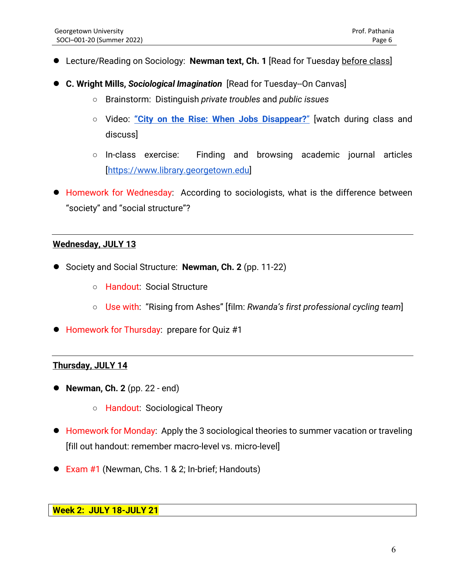- Lecture/Reading on Sociology: Newman text, Ch. 1 [Read for Tuesday before class]
- **C. Wright Mills,** *Sociological Imagination* [Read for Tuesday--On Canvas]
	- Brainstorm: Distinguish *private troubles* and *public issues*
	- Video: **"City on the Rise: When Jobs Disappear?**" [watch during class and discuss]
	- In-class exercise: Finding and browsing academic journal articles [https://www.library.georgetown.edu]
- Homework for Wednesday: According to sociologists, what is the difference between "society" and "social structure"?

## **Wednesday, JULY 13**

- Society and Social Structure: **Newman, Ch. 2** (pp. 11-22)
	- Handout: Social Structure
	- Use with: "Rising from Ashes" [film: *Rwanda's first professional cycling team*]
- Homework for Thursday: prepare for Quiz #1

### **Thursday, JULY 14**

- **Newman, Ch. 2** (pp. 22 end)
	- Handout: Sociological Theory
- Homework for Monday: Apply the 3 sociological theories to summer vacation or traveling [fill out handout: remember macro-level vs. micro-level]
- Exam #1 (Newman, Chs. 1 & 2; In-brief; Handouts)

### **Week 2: JULY 18-JULY 21**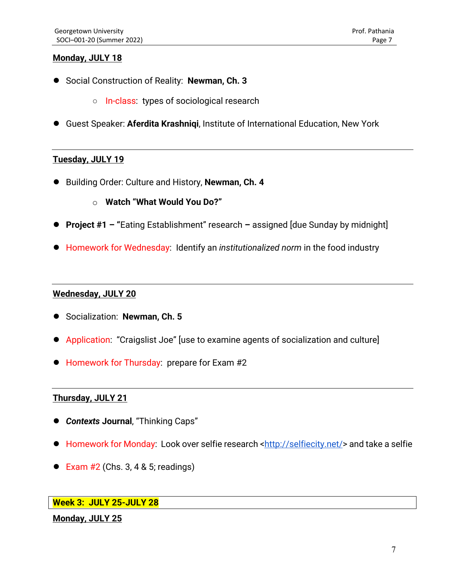### **Monday, JULY 18**

- Social Construction of Reality: **Newman, Ch. 3**
	- In-class: types of sociological research
- Guest Speaker: **Aferdita Krashnigi**, Institute of International Education, New York

#### **Tuesday, JULY 19**

- Building Order: Culture and History, **Newman, Ch. 4**
	- o **Watch "What Would You Do?"**
- **Project #1 – "**Eating Establishment" research **–** assigned [due Sunday by midnight]
- Homework for Wednesday: Identify an *institutionalized norm* in the food industry

#### **Wednesday, JULY 20**

- Socialization: **Newman, Ch. 5**
- Application: "Craigslist Joe" [use to examine agents of socialization and culture]
- Homework for Thursday: prepare for Exam #2

### **Thursday, JULY 21**

- *Contexts* **Journal**, "Thinking Caps"
- Homework for Monday: Look over selfie research <http://selfiecity.net/> and take a selfie
- Exam  $#2$  (Chs. 3, 4 & 5; readings)

## **Week 3: JULY 25-JULY 28**

#### **Monday, JULY 25**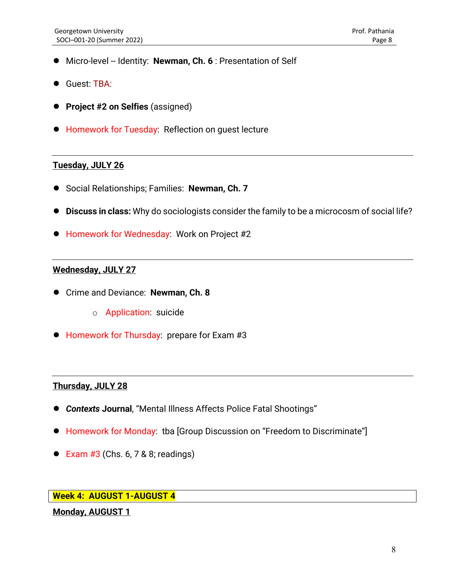- Micro-level -- Identity: **Newman, Ch. 6** : Presentation of Self
- Guest: TBA:
- **Project #2 on Selfies** (assigned)
- Homework for Tuesday: Reflection on quest lecture

### **Tuesday, JULY 26**

- Social Relationships; Families: **Newman, Ch. 7**
- **Discuss in class:** Why do sociologists consider the family to be a microcosm of social life?
- Homework for Wednesday: Work on Project #2

### **Wednesday, JULY 27**

- Crime and Deviance: **Newman, Ch. 8**
	- o Application: suicide
- Homework for Thursday: prepare for Exam #3

#### **Thursday, JULY 28**

- *Contexts* **Journal**, "Mental Illness Affects Police Fatal Shootings"
- Homework for Monday: tba [Group Discussion on "Freedom to Discriminate"]
- $\bullet$  Exam #3 (Chs. 6, 7 & 8; readings)

#### **Week 4: AUGUST 1-AUGUST 4**

#### **Monday, AUGUST 1**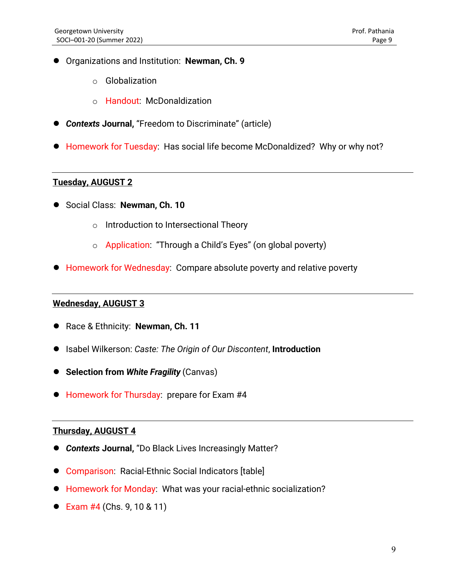- Organizations and Institution: **Newman, Ch. 9**
	- o Globalization
	- o Handout: McDonaldization
- *Contexts* **Journal,** "Freedom to Discriminate" (article)
- Homework for Tuesday: Has social life become McDonaldized? Why or why not?

#### **Tuesday, AUGUST 2**

- Social Class: **Newman, Ch. 10**
	- o Introduction to Intersectional Theory
	- o Application: "Through a Child's Eyes" (on global poverty)
- Homework for Wednesday: Compare absolute poverty and relative poverty

## **Wednesday, AUGUST 3**

- Race & Ethnicity: **Newman, Ch. 11**
- Isabel Wilkerson: *Caste: The Origin of Our Discontent*, **Introduction**
- **Selection from** *White Fragility* (Canvas)
- Homework for Thursday: prepare for Exam #4

## **Thursday, AUGUST 4**

- *Contexts* **Journal,** "Do Black Lives Increasingly Matter?
- Comparison: Racial-Ethnic Social Indicators [table]
- Homework for Monday: What was your racial-ethnic socialization?
- Exam  $#4$  (Chs. 9, 10 & 11)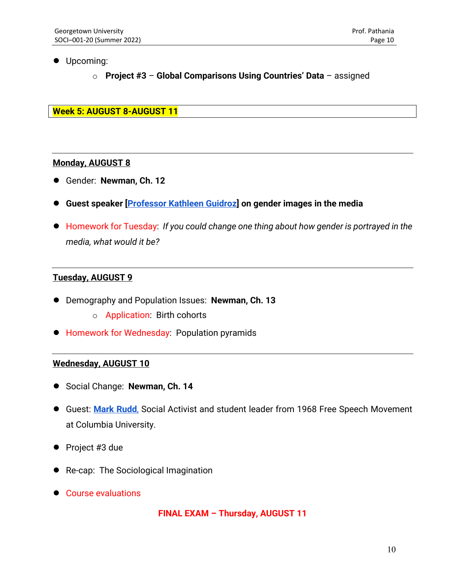- Upcoming:
	- o **Project #3 Global Comparisons Using Countries' Data** assigned

**Week 5: AUGUST 8-AUGUST 11**

### **Monday, AUGUST 8**

- Gender: **Newman, Ch. 12**
- **Guest speaker [Professor Kathleen Guidroz] on gender images in the media**
- Homework for Tuesday: *If you could change one thing about how gender is portrayed in the media, what would it be?*

## **Tuesday, AUGUST 9**

- Demography and Population Issues: **Newman, Ch. 13** 
	- o Application: Birth cohorts
- Homework for Wednesday: Population pyramids

#### **Wednesday, AUGUST 10**

- Social Change: **Newman, Ch. 14**
- Guest: **Mark Rudd**, Social Activist and student leader from 1968 Free Speech Movement at Columbia University.
- Project #3 due
- Re-cap: The Sociological Imagination
- Course evaluations

**FINAL EXAM – Thursday, AUGUST 11**